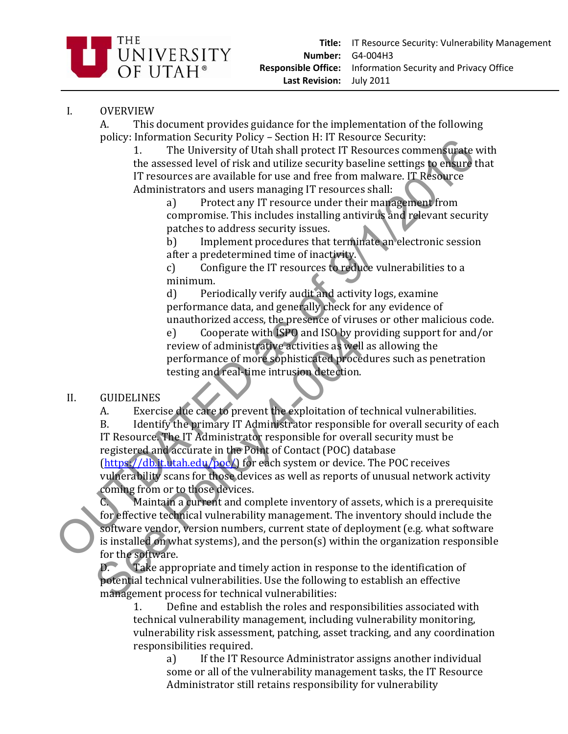

## I. OVERVIEW

A. This document provides guidance for the implementation of the following policy: Information Security Policy – Section H: IT Resource Security:

1. The University of Utah shall protect IT Resources commensurate with the assessed level of risk and utilize security baseline settings to ensure that IT resources are available for use and free from malware. IT Resource Administrators and users managing IT resources shall:

a) Protect any IT resource under their management from compromise. This includes installing antivirus and relevant security patches to address security issues.

b) Implement procedures that terminate an electronic session after a predetermined time of inactivity.

c) Configure the IT resources to reduce vulnerabilities to a minimum.

d) Periodically verify audit and activity logs, examine performance data, and generally check for any evidence of unauthorized access, the presence of viruses or other malicious code.

e) Cooperate with ISPO and ISO by providing support for and/or review of administrative activities as well as allowing the performance of more sophisticated procedures such as penetration testing and real‐time intrusion detection.

## II. GUIDELINES

A. Exercise due care to prevent the exploitation of technical vulnerabilities.

B. Identify the primary IT Administrator responsible for overall security of each IT Resource. The IT Administrator responsible for overall security must be registered and accurate in the Point of Contact (POC) database

(https://db.it.utah.edu/poc/) for each system or device. The POC receives vulnerability scans for those devices as well as reports of unusual network activity coming from or to those devices.

C. Maintain a current and complete inventory of assets, which is a prerequisite for effective technical vulnerability management. The inventory should include the software vendor, version numbers, current state of deployment (e.g. what software is installed on what systems), and the person(s) within the organization responsible for the software. From the assessed level of risk and utilize security secure is the sense of the sense of the anti-product in the prediction of the anti-product in the anti-product of risk and their control baseline settings to enable the e) Cooperate with ISPO and ISO by pr<br>review of administrative activities as well<br>performance of more sophisticated proced<br>testing and real-time intrusion detection.<br>GUIDELINES<br>A. Exercise due care to prevent the exploitati

D. Take appropriate and timely action in response to the identification of potential technical vulnerabilities. Use the following to establish an effective management process for technical vulnerabilities:

1. Define and establish the roles and responsibilities associated with technical vulnerability management, including vulnerability monitoring, vulnerability risk assessment, patching, asset tracking, and any coordination responsibilities required.

a) If the IT Resource Administrator assigns another individual some or all of the vulnerability management tasks, the IT Resource Administrator still retains responsibility for vulnerability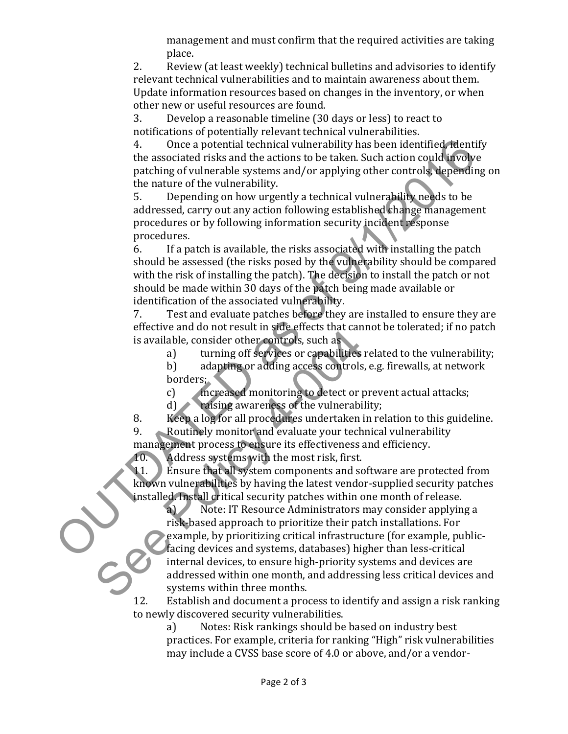management and must confirm that the required activities are taking place.

2. Review (at least weekly) technical bulletins and advisories to identify relevant technical vulnerabilities and to maintain awareness about them. Update information resources based on changes in the inventory, or when other new or useful resources are found.

3. Develop a reasonable timeline (30 days or less) to react to notifications of potentially relevant technical vulnerabilities.

4. Once a potential technical vulnerability has been identified, identify the associated risks and the actions to be taken. Such action could involve patching of vulnerable systems and/or applying other controls, depending on the nature of the vulnerability.

5. Depending on how urgently a technical vulnerability needs to be addressed, carry out any action following established change management procedures or by following information security incident response procedures.

6. If a patch is available, the risks associated with installing the patch should be assessed (the risks posed by the vulnerability should be compared with the risk of installing the patch). The decision to install the patch or not should be made within 30 days of the patch being made available or identification of the associated vulnerability. 4. Once a potential technical vulnerability has been identified releasing the associated risks and the actions to be taken. Such action could involve the matter of the vulnerability peeting of vulnerabile systems and/or ap

7. Test and evaluate patches before they are installed to ensure they are effective and do not result in side effects that cannot be tolerated; if no patch is available, consider other controls, such as

a) turning off services or capabilities related to the vulnerability;

b) adapting or adding access controls, e.g. firewalls, at network borders;

c) increased monitoring to detect or prevent actual attacks;

d) raising awareness of the vulnerability;

8. Keep a log for all procedures undertaken in relation to this guideline. 9. Routinely monitor and evaluate your technical vulnerability

management process to ensure its effectiveness and efficiency.

10. Address systems with the most risk, first.

11. Ensure that all system components and software are protected from known vulnerabilities by having the latest vendor-supplied security patches installed. Install critical security patches within one month of release.

a) Note: IT Resource Administrators may consider applying a risk‐based approach to prioritize their patch installations. For example, by prioritizing critical infrastructure (for example, public‐ facing devices and systems, databases) higher than less‐critical internal devices, to ensure high‐priority systems and devices are addressed within one month, and addressing less critical devices and systems within three months. Exerce and above the controls. Such as<br>
is available, consider other controls, such as<br>
a) turning off services or capabilities<br>
b) adapting or adding access controls,<br>
borders:<br>
c) there a log for all procedures undertake

12. Establish and document a process to identify and assign a risk ranking to newly discovered security vulnerabilities.

a) Notes: Risk rankings should be based on industry best practices. For example, criteria for ranking "High" risk vulnerabilities may include a CVSS base score of 4.0 or above, and/or a vendor‐